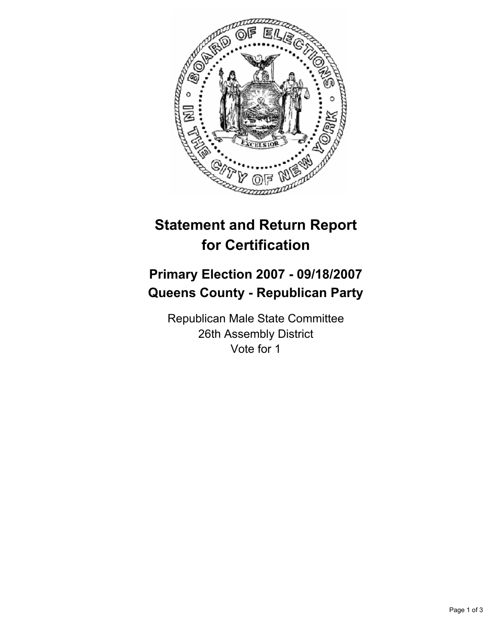

## **Statement and Return Report for Certification**

## **Primary Election 2007 - 09/18/2007 Queens County - Republican Party**

Republican Male State Committee 26th Assembly District Vote for 1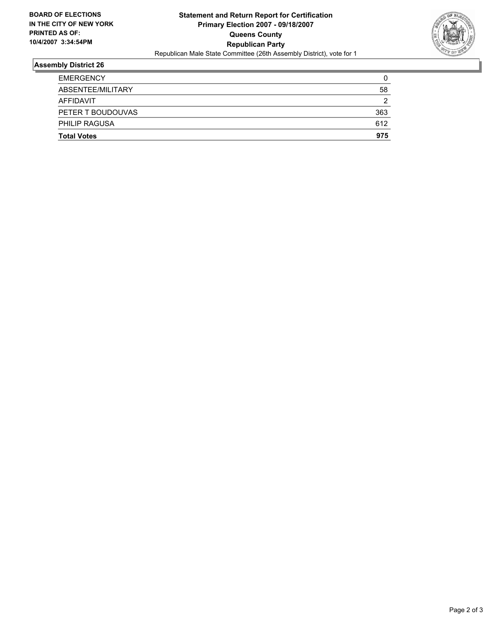

## **Assembly District 26**

| <b>Total Votes</b>   | 975 |
|----------------------|-----|
| <b>PHILIP RAGUSA</b> | 612 |
| PETER T BOUDOUVAS    | 363 |
| AFFIDAVIT            | ◠   |
| ABSENTEE/MILITARY    | 58  |
| <b>EMERGENCY</b>     |     |